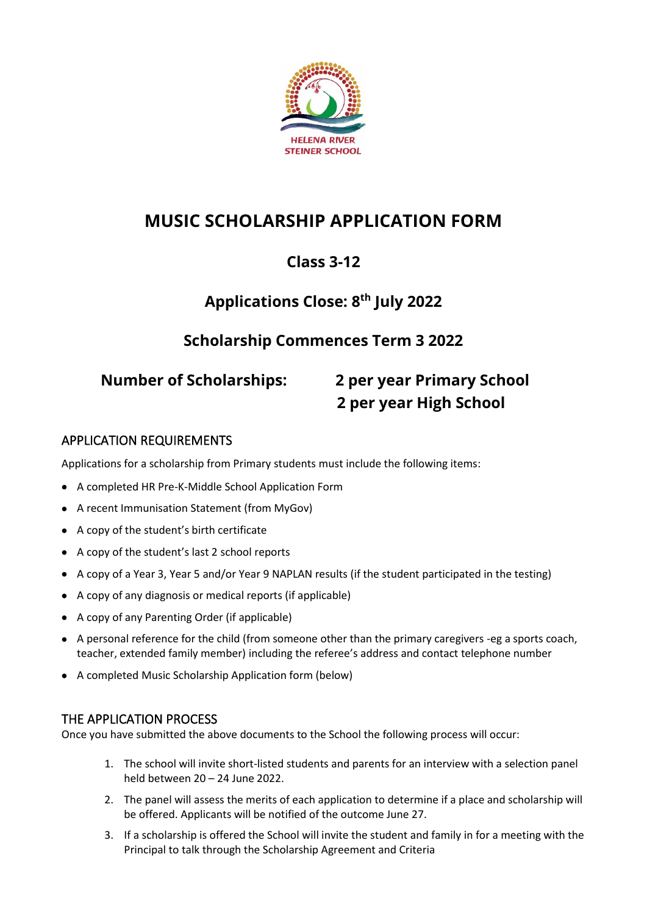

# **MUSIC SCHOLARSHIP APPLICATION FORM**

# **Class 3-12**

# **Applications Close: 8 th July 2022**

## **Scholarship Commences Term 3 2022**

# **Number of Scholarships: 2 per year Primary School 2 per year High School**

#### APPLICATION REQUIREMENTS

Applications for a scholarship from Primary students must include the following items:

- A completed HR Pre-K-Middle School Application Form
- A recent Immunisation Statement (from MyGov)
- A copy of the student's birth certificate
- A copy of the student's last 2 school reports
- A copy of a Year 3, Year 5 and/or Year 9 NAPLAN results (if the student participated in the testing)
- A copy of any diagnosis or medical reports (if applicable)
- A copy of any Parenting Order (if applicable)
- A personal reference for the child (from someone other than the primary caregivers -eg a sports coach, teacher, extended family member) including the referee's address and contact telephone number
- A completed Music Scholarship Application form (below)

### THE APPLICATION PROCESS

Once you have submitted the above documents to the School the following process will occur:

- 1. The school will invite short-listed students and parents for an interview with a selection panel held between 20 – 24 June 2022.
- 2. The panel will assess the merits of each application to determine if a place and scholarship will be offered. Applicants will be notified of the outcome June 27.
- 3. If a scholarship is offered the School will invite the student and family in for a meeting with the Principal to talk through the Scholarship Agreement and Criteria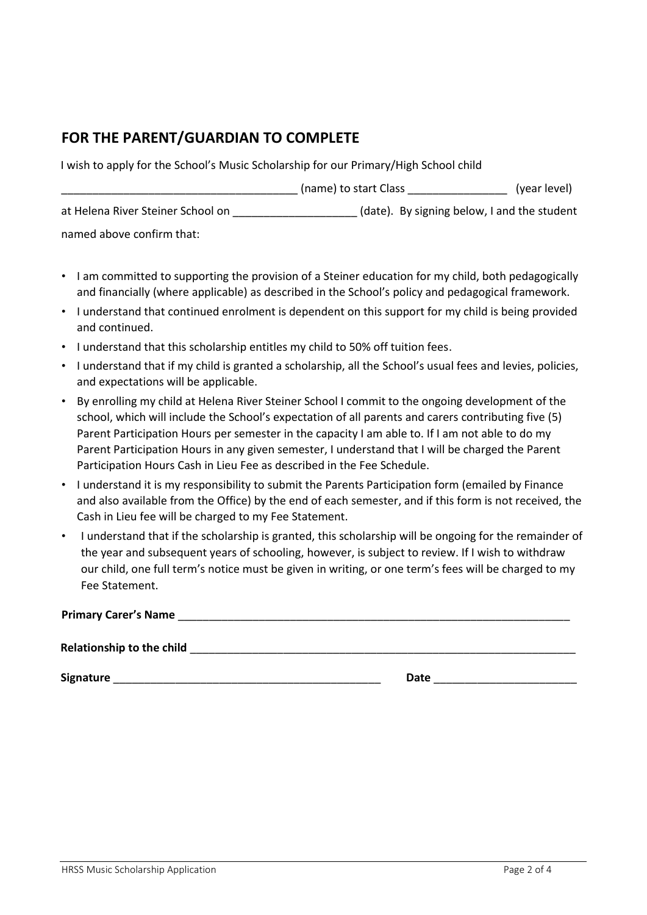## **FOR THE PARENT/GUARDIAN TO COMPLETE**

I wish to apply for the School's Music Scholarship for our Primary/High School child

|                                   | (name) to start Class                       | (year level) |
|-----------------------------------|---------------------------------------------|--------------|
| at Helena River Steiner School on | (date). By signing below, I and the student |              |
| named above confirm that:         |                                             |              |

- I am committed to supporting the provision of a Steiner education for my child, both pedagogically and financially (where applicable) as described in the School's policy and pedagogical framework.
- I understand that continued enrolment is dependent on this support for my child is being provided and continued.
- I understand that this scholarship entitles my child to 50% off tuition fees.
- I understand that if my child is granted a scholarship, all the School's usual fees and levies, policies, and expectations will be applicable.
- By enrolling my child at Helena River Steiner School I commit to the ongoing development of the school, which will include the School's expectation of all parents and carers contributing five (5) Parent Participation Hours per semester in the capacity I am able to. If I am not able to do my Parent Participation Hours in any given semester, I understand that I will be charged the Parent Participation Hours Cash in Lieu Fee as described in the Fee Schedule.
- I understand it is my responsibility to submit the Parents Participation form (emailed by Finance and also available from the Office) by the end of each semester, and if this form is not received, the Cash in Lieu fee will be charged to my Fee Statement.
- I understand that if the scholarship is granted, this scholarship will be ongoing for the remainder of the year and subsequent years of schooling, however, is subject to review. If I wish to withdraw our child, one full term's notice must be given in writing, or one term's fees will be charged to my Fee Statement.

| <b>Primary Carer's Name</b>      |      |
|----------------------------------|------|
| <b>Relationship to the child</b> |      |
| Signature                        | Date |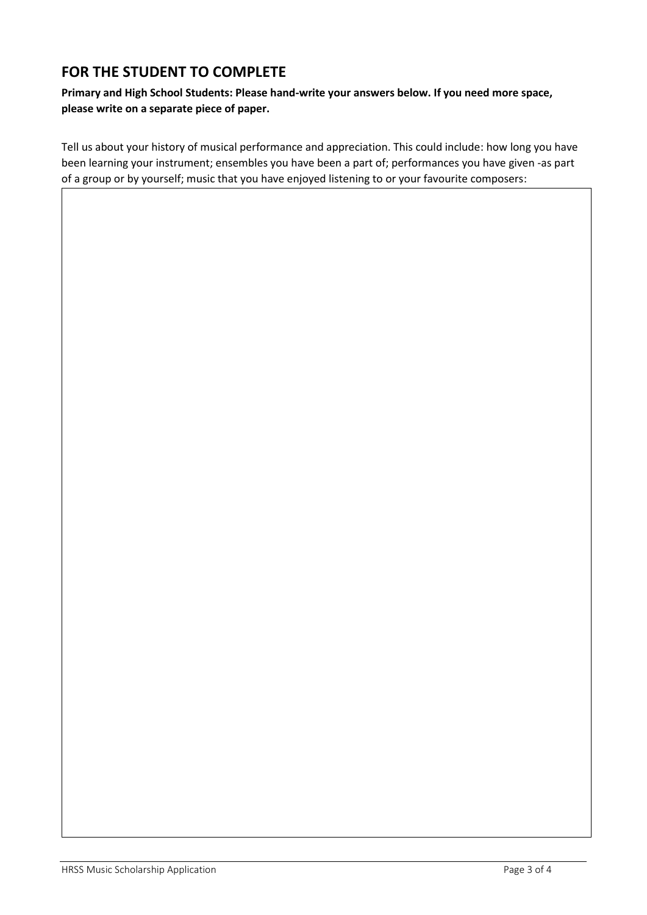## **FOR THE STUDENT TO COMPLETE**

**Primary and High School Students: Please hand-write your answers below. If you need more space, please write on a separate piece of paper.**

Tell us about your history of musical performance and appreciation. This could include: how long you have been learning your instrument; ensembles you have been a part of; performances you have given -as part of a group or by yourself; music that you have enjoyed listening to or your favourite composers: